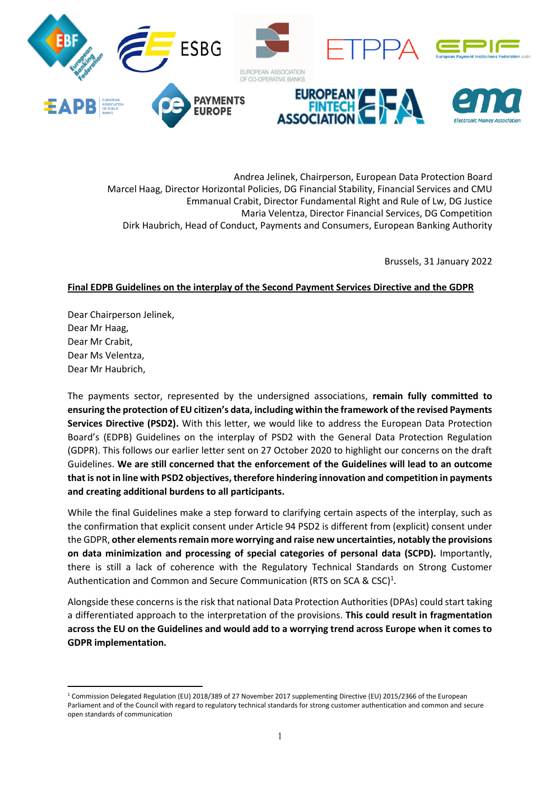

Andrea Jelinek, Chairperson, European Data Protection Board Marcel Haag, Director Horizontal Policies, DG Financial Stability, Financial Services and CMU Emmanual Crabit, Director Fundamental Right and Rule of Lw, DG Justice Maria Velentza, Director Financial Services, DG Competition Dirk Haubrich, Head of Conduct, Payments and Consumers, European Banking Authority

Brussels, 31 January 2022

#### **Final EDPB Guidelines on the interplay of the Second Payment Services Directive and the GDPR**

Dear Chairperson Jelinek, Dear Mr Haag, Dear Mr Crabit, Dear Ms Velentza, Dear Mr Haubrich,

The payments sector, represented by the undersigned associations, **remain fully committed to ensuring the protection of EU citizen's data, including within the framework of the revised Payments Services Directive (PSD2).** With this letter, we would like to address the European Data Protection Board's (EDPB) Guidelines on the interplay of PSD2 with the General Data Protection Regulation (GDPR). This follows our earlier letter sent on 27 October 2020 to highlight our concerns on the draft Guidelines. **We are still concerned that the enforcement of the Guidelines will lead to an outcome that is not in line with PSD2 objectives, therefore hindering innovation and competition in payments and creating additional burdens to all participants.**

While the final Guidelines make a step forward to clarifying certain aspects of the interplay, such as the confirmation that explicit consent under Article 94 PSD2 is different from (explicit) consent under the GDPR, **other elements remain more worrying and raise new uncertainties, notably the provisions on data minimization and processing of special categories of personal data (SCPD).** Importantly, there is still a lack of coherence with the Regulatory Technical Standards on Strong Customer Authentication and Common and Secure Communication (RTS on SCA & CSC)<sup>1</sup>.

Alongside these concerns is the risk that national Data Protection Authorities (DPAs) could start taking a differentiated approach to the interpretation of the provisions. **This could result in fragmentation across the EU on the Guidelines and would add to a worrying trend across Europe when it comes to GDPR implementation.** 

<sup>1</sup> Commission Delegated Regulation (EU) 2018/389 of 27 November 2017 supplementing Directive (EU) 2015/2366 of the European Parliament and of the Council with regard to regulatory technical standards for strong customer authentication and common and secure open standards of communication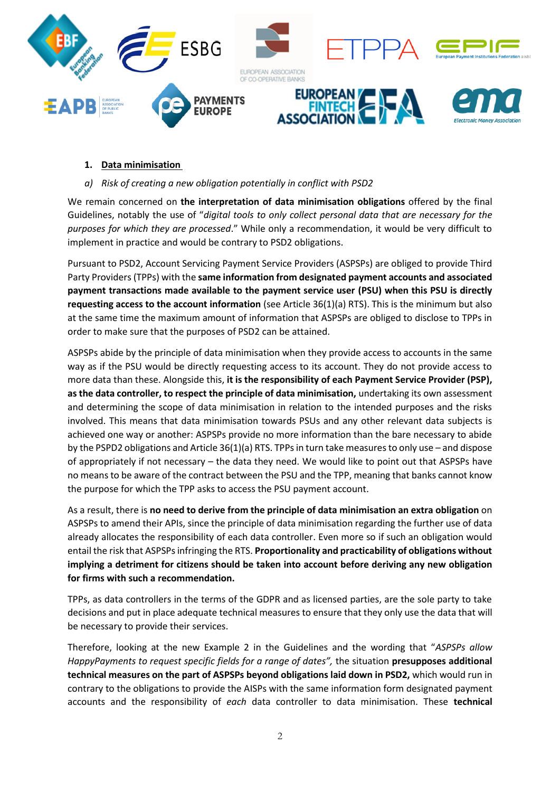

### **1. Data minimisation**

#### *a) Risk of creating a new obligation potentially in conflict with PSD2*

We remain concerned on **the interpretation of data minimisation obligations** offered by the final Guidelines, notably the use of "*digital tools to only collect personal data that are necessary for the purposes for which they are processed*." While only a recommendation, it would be very difficult to implement in practice and would be contrary to PSD2 obligations.

Pursuant to PSD2, Account Servicing Payment Service Providers (ASPSPs) are obliged to provide Third Party Providers (TPPs) with the **same information from designated payment accounts and associated payment transactions made available to the payment service user (PSU) when this PSU is directly requesting access to the account information** (see Article 36(1)(a) RTS). This is the minimum but also at the same time the maximum amount of information that ASPSPs are obliged to disclose to TPPs in order to make sure that the purposes of PSD2 can be attained.

ASPSPs abide by the principle of data minimisation when they provide access to accounts in the same way as if the PSU would be directly requesting access to its account. They do not provide access to more data than these. Alongside this, **it is the responsibility of each Payment Service Provider (PSP), as the data controller, to respect the principle of data minimisation,** undertaking its own assessment and determining the scope of data minimisation in relation to the intended purposes and the risks involved. This means that data minimisation towards PSUs and any other relevant data subjects is achieved one way or another: ASPSPs provide no more information than the bare necessary to abide by the PSPD2 obligations and Article 36(1)(a) RTS. TPPs in turn take measures to only use – and dispose of appropriately if not necessary – the data they need. We would like to point out that ASPSPs have no means to be aware of the contract between the PSU and the TPP, meaning that banks cannot know the purpose for which the TPP asks to access the PSU payment account.

As a result, there is **no need to derive from the principle of data minimisation an extra obligation** on ASPSPs to amend their APIs, since the principle of data minimisation regarding the further use of data already allocates the responsibility of each data controller. Even more so if such an obligation would entail the risk that ASPSPs infringing the RTS. **Proportionality and practicability of obligations without implying a detriment for citizens should be taken into account before deriving any new obligation for firms with such a recommendation.**

TPPs, as data controllers in the terms of the GDPR and as licensed parties, are the sole party to take decisions and put in place adequate technical measures to ensure that they only use the data that will be necessary to provide their services.

Therefore, looking at the new Example 2 in the Guidelines and the wording that "*ASPSPs allow HappyPayments to request specific fields for a range of dates",* the situation **presupposes additional technical measures on the part of ASPSPs beyond obligations laid down in PSD2,** which would run in contrary to the obligations to provide the AISPs with the same information form designated payment accounts and the responsibility of *each* data controller to data minimisation. These **technical**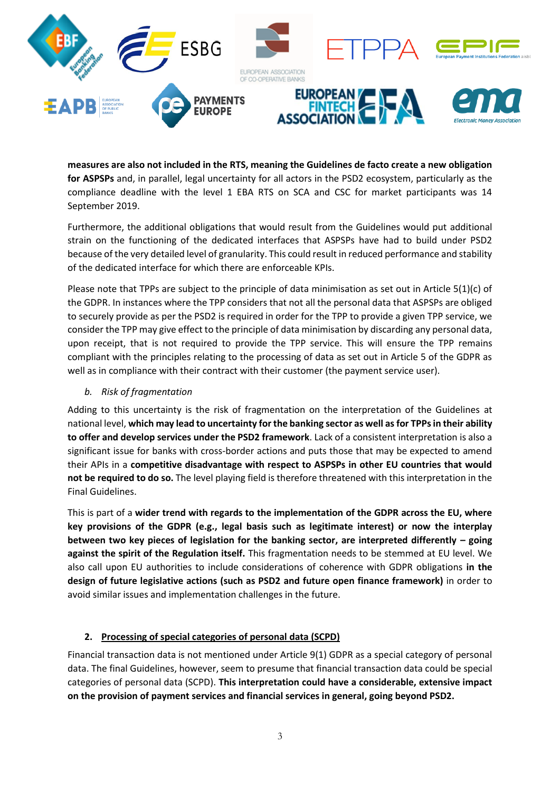

**measures are also not included in the RTS, meaning the Guidelines de facto create a new obligation for ASPSPs** and, in parallel, legal uncertainty for all actors in the PSD2 ecosystem, particularly as the compliance deadline with the level 1 EBA RTS on SCA and CSC for market participants was 14 September 2019.

Furthermore, the additional obligations that would result from the Guidelines would put additional strain on the functioning of the dedicated interfaces that ASPSPs have had to build under PSD2 because of the very detailed level of granularity. This could result in reduced performance and stability of the dedicated interface for which there are enforceable KPIs.

Please note that TPPs are subject to the principle of data minimisation as set out in Article 5(1)(c) of the GDPR. In instances where the TPP considers that not all the personal data that ASPSPs are obliged to securely provide as per the PSD2 is required in order for the TPP to provide a given TPP service, we consider the TPP may give effect to the principle of data minimisation by discarding any personal data, upon receipt, that is not required to provide the TPP service. This will ensure the TPP remains compliant with the principles relating to the processing of data as set out in Article 5 of the GDPR as well as in compliance with their contract with their customer (the payment service user).

### *b. Risk of fragmentation*

Adding to this uncertainty is the risk of fragmentation on the interpretation of the Guidelines at national level, **which may lead to uncertainty for the banking sector as well as for TPPs in their ability to offer and develop services under the PSD2 framework**. Lack of a consistent interpretation is also a significant issue for banks with cross-border actions and puts those that may be expected to amend their APIs in a **competitive disadvantage with respect to ASPSPs in other EU countries that would not be required to do so.** The level playing field is therefore threatened with this interpretation in the Final Guidelines.

This is part of a **wider trend with regards to the implementation of the GDPR across the EU, where key provisions of the GDPR (e.g., legal basis such as legitimate interest) or now the interplay between two key pieces of legislation for the banking sector, are interpreted differently – going against the spirit of the Regulation itself.** This fragmentation needs to be stemmed at EU level. We also call upon EU authorities to include considerations of coherence with GDPR obligations **in the design of future legislative actions (such as PSD2 and future open finance framework)** in order to avoid similar issues and implementation challenges in the future.

## **2. Processing of special categories of personal data (SCPD)**

Financial transaction data is not mentioned under Article 9(1) GDPR as a special category of personal data. The final Guidelines, however, seem to presume that financial transaction data could be special categories of personal data (SCPD). **This interpretation could have a considerable, extensive impact on the provision of payment services and financial services in general, going beyond PSD2.**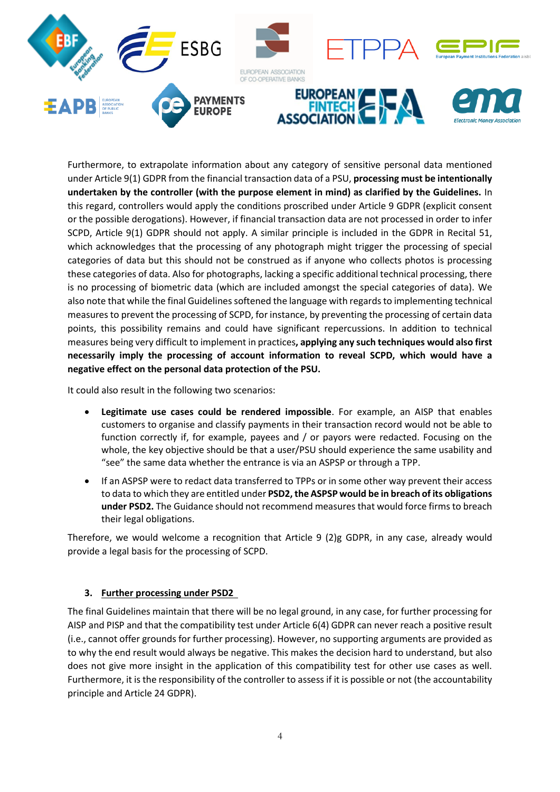

Furthermore, to extrapolate information about any category of sensitive personal data mentioned under Article 9(1) GDPR from the financial transaction data of a PSU, **processing must be intentionally undertaken by the controller (with the purpose element in mind) as clarified by the Guidelines.** In this regard, controllers would apply the conditions proscribed under Article 9 GDPR (explicit consent or the possible derogations). However, if financial transaction data are not processed in order to infer SCPD, Article 9(1) GDPR should not apply. A similar principle is included in the GDPR in Recital 51, which acknowledges that the processing of any photograph might trigger the processing of special categories of data but this should not be construed as if anyone who collects photos is processing these categories of data. Also for photographs, lacking a specific additional technical processing, there is no processing of biometric data (which are included amongst the special categories of data). We also note that while the final Guidelines softened the language with regards to implementing technical measures to prevent the processing of SCPD, for instance, by preventing the processing of certain data points, this possibility remains and could have significant repercussions. In addition to technical measures being very difficult to implement in practices**, applying any such techniques would also first necessarily imply the processing of account information to reveal SCPD, which would have a negative effect on the personal data protection of the PSU.**

It could also result in the following two scenarios:

- **Legitimate use cases could be rendered impossible**. For example, an AISP that enables customers to organise and classify payments in their transaction record would not be able to function correctly if, for example, payees and / or payors were redacted. Focusing on the whole, the key objective should be that a user/PSU should experience the same usability and "see" the same data whether the entrance is via an ASPSP or through a TPP.
- If an ASPSP were to redact data transferred to TPPs or in some other way prevent their access to data to which they are entitled under **PSD2, the ASPSP would be in breach of its obligations under PSD2.** The Guidance should not recommend measures that would force firms to breach their legal obligations.

Therefore, we would welcome a recognition that Article 9 (2)g GDPR, in any case, already would provide a legal basis for the processing of SCPD.

## **3. Further processing under PSD2**

The final Guidelines maintain that there will be no legal ground, in any case, for further processing for AISP and PISP and that the compatibility test under Article 6(4) GDPR can never reach a positive result (i.e., cannot offer grounds for further processing). However, no supporting arguments are provided as to why the end result would always be negative. This makes the decision hard to understand, but also does not give more insight in the application of this compatibility test for other use cases as well. Furthermore, it is the responsibility of the controller to assess if it is possible or not (the accountability principle and Article 24 GDPR).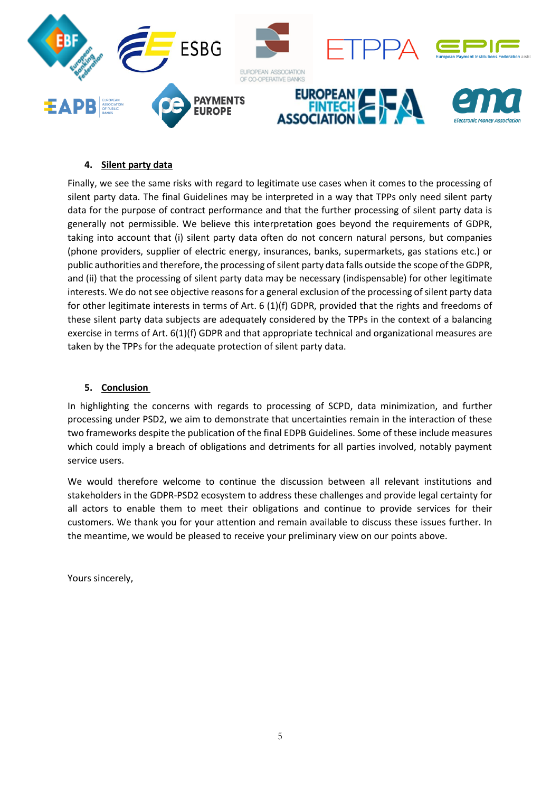

# **4. Silent party data**

Finally, we see the same risks with regard to legitimate use cases when it comes to the processing of silent party data. The final Guidelines may be interpreted in a way that TPPs only need silent party data for the purpose of contract performance and that the further processing of silent party data is generally not permissible. We believe this interpretation goes beyond the requirements of GDPR, taking into account that (i) silent party data often do not concern natural persons, but companies (phone providers, supplier of electric energy, insurances, banks, supermarkets, gas stations etc.) or public authorities and therefore, the processing of silent party data falls outside the scope of the GDPR, and (ii) that the processing of silent party data may be necessary (indispensable) for other legitimate interests. We do not see objective reasons for a general exclusion of the processing of silent party data for other legitimate interests in terms of Art. 6 (1)(f) GDPR, provided that the rights and freedoms of these silent party data subjects are adequately considered by the TPPs in the context of a balancing exercise in terms of Art. 6(1)(f) GDPR and that appropriate technical and organizational measures are taken by the TPPs for the adequate protection of silent party data.

## **5. Conclusion**

In highlighting the concerns with regards to processing of SCPD, data minimization, and further processing under PSD2, we aim to demonstrate that uncertainties remain in the interaction of these two frameworks despite the publication of the final EDPB Guidelines. Some of these include measures which could imply a breach of obligations and detriments for all parties involved, notably payment service users.

We would therefore welcome to continue the discussion between all relevant institutions and stakeholders in the GDPR-PSD2 ecosystem to address these challenges and provide legal certainty for all actors to enable them to meet their obligations and continue to provide services for their customers. We thank you for your attention and remain available to discuss these issues further. In the meantime, we would be pleased to receive your preliminary view on our points above.

Yours sincerely,